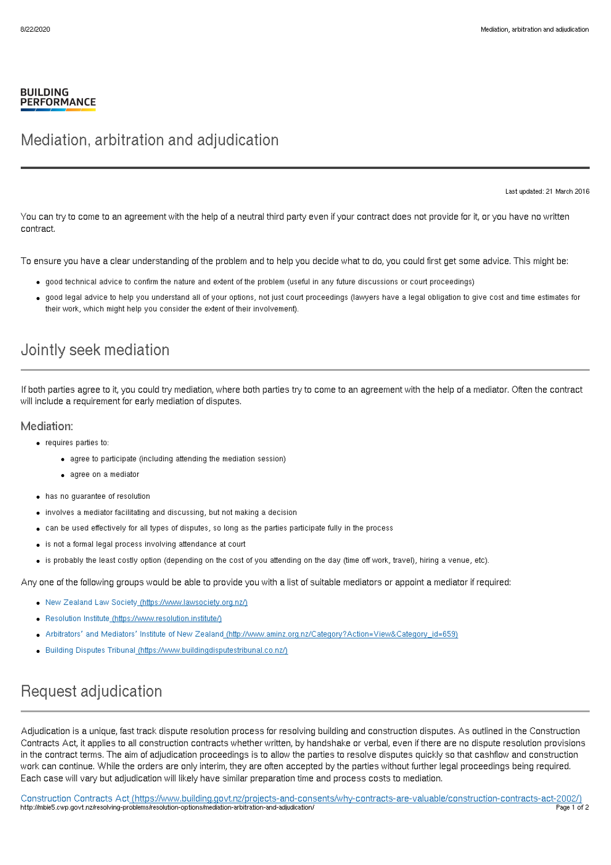#### **BUILDING PERFORMANCE**

## Mediation, arbitration and adjudication

Last updated: 21 March 2016

You can try to come to an agreement with the help of a neutral third party even if your contract does not provide for it, or you have no written contract.

To ensure you have a clear understanding of the problem and to help you decide what to do, you could first get some advice. This might be:

- good technical advice to confirm the nature and extent of the problem (useful in any future discussions or court proceedings)
- good legal advice to help you understand all of your options, not just court proceedings (lawyers have a legal obligation to give cost and time estimates for their work, which might help you consider the extent of their involvement).

### Jointly seek mediation

If both parties agree to it, you could try mediation, where both parties try to come to an agreement with the help of a mediator. Often the contract will include a requirement for early mediation of disputes.

#### Mediation:

- requires parties to:
	- agree to participate (including attending the mediation session)
	- agree on a mediator
- has no guarantee of resolution
- involves a mediator facilitating and discussing, but not making a decision
- can be used effectively for all types of disputes, so long as the parties participate fully in the process
- is not a formal legal process involving attendance at court
- is probably the least costly option (depending on the cost of you attending on the day (time off work, travel), hiring a venue, etc).

Any one of the following groups would be able to provide you with a list of suitable mediators or appoint a mediator if required:

- New Zealand Law Society [\(https://www.lawsociety.org.nz/\)](https://www.lawsociety.org.nz/)
- Resolution Institute [\(https://www.resolution.institute/\)](https://www.resolution.institute/)
- Arbitrators' and Mediators' Institute of New Zealand [\(http://www.aminz.org.nz/Category?Action=View&Category\\_id=659\)](http://www.aminz.org.nz/Category?Action=View&Category_id=659)
- Building Disputes Tribunal [\(https://www.buildingdisputestribunal.co.nz/\)](https://www.buildingdisputestribunal.co.nz/)

## Request adjudication

Adjudication is a unique, fast track dispute resolution process for resolving building and construction disputes. As outlined in the Construction Contracts Act, it applies to all construction contracts whether written, by handshake or verbal, even if there are no dispute resolution provisions in the contract terms. The aim of adjudication proceedings is to allow the parties to resolve disputes quickly so that cashflow and construction work can continue. While the orders are only interim, they are often accepted by the parties without further legal proceedings being required. Each case will vary but adjudication will likely have similar preparation time and process costs to mediation.

Construction Contracts Act [\(https://www.building.govt.nz/projects-and-consents/why-contracts-are-valuable/construction-contracts-act-2002/\)](http://mbie5.cwp.govt.nz/projects-and-consents/why-contracts-are-valuable/construction-contracts-act-2002/) http://mbie5.cwp.govt.nz/resolving-problems/resolution-options/mediation-arbitration-and-adjudication/